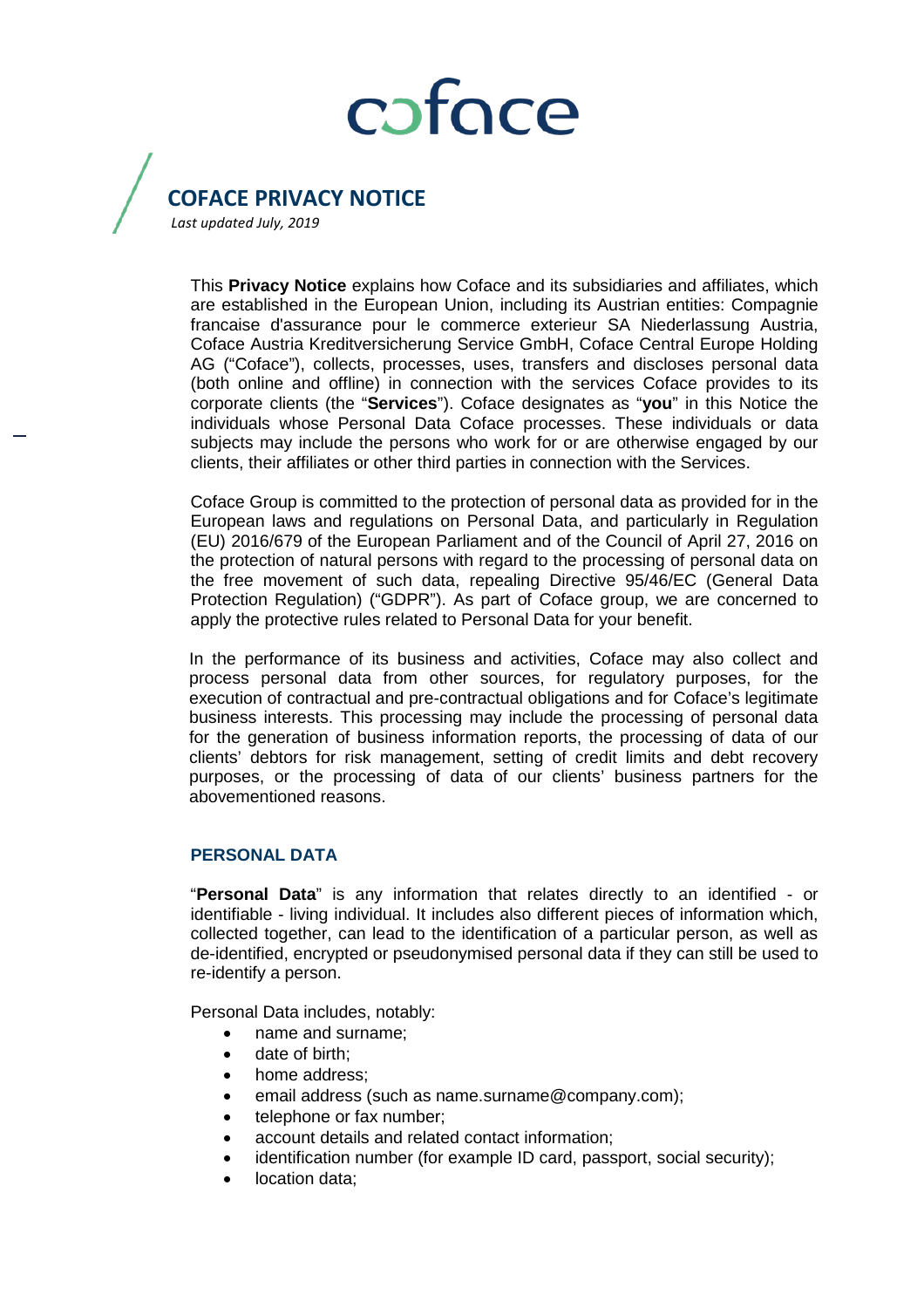# coface

## **COFACE PRIVACY NOTICE**

*Last updated July, 2019*

This **Privacy Notice** explains how Coface and its subsidiaries and affiliates, which are established in the European Union, including its Austrian entities: Compagnie francaise d'assurance pour le commerce exterieur SA Niederlassung Austria, Coface Austria Kreditversicherung Service GmbH, Coface Central Europe Holding AG ("Coface"), collects, processes, uses, transfers and discloses personal data (both online and offline) in connection with the services Coface provides to its corporate clients (the "**Services**"). Coface designates as "**you**" in this Notice the individuals whose Personal Data Coface processes. These individuals or data subjects may include the persons who work for or are otherwise engaged by our clients, their affiliates or other third parties in connection with the Services.

Coface Group is committed to the protection of personal data as provided for in the European laws and regulations on Personal Data, and particularly in Regulation (EU) 2016/679 of the European Parliament and of the Council of April 27, 2016 on the protection of natural persons with regard to the processing of personal data on the free movement of such data, repealing Directive 95/46/EC (General Data Protection Regulation) ("GDPR"). As part of Coface group, we are concerned to apply the protective rules related to Personal Data for your benefit.

In the performance of its business and activities, Coface may also collect and process personal data from other sources, for regulatory purposes, for the execution of contractual and pre-contractual obligations and for Coface's legitimate business interests. This processing may include the processing of personal data for the generation of business information reports, the processing of data of our clients' debtors for risk management, setting of credit limits and debt recovery purposes, or the processing of data of our clients' business partners for the abovementioned reasons.

### **PERSONAL DATA**

"**Personal Data**" is any information that relates directly to an identified - or identifiable - living individual. It includes also different pieces of information which, collected together, can lead to the identification of a particular person, as well as de-identified, encrypted or pseudonymised personal data if they can still be used to re-identify a person.

Personal Data includes, notably:

- name and surname;
- date of birth:
- home address;
- email address (such as name.surname@company.com);
- telephone or fax number;
- account details and related contact information;
- identification number (for example ID card, passport, social security);
- location data;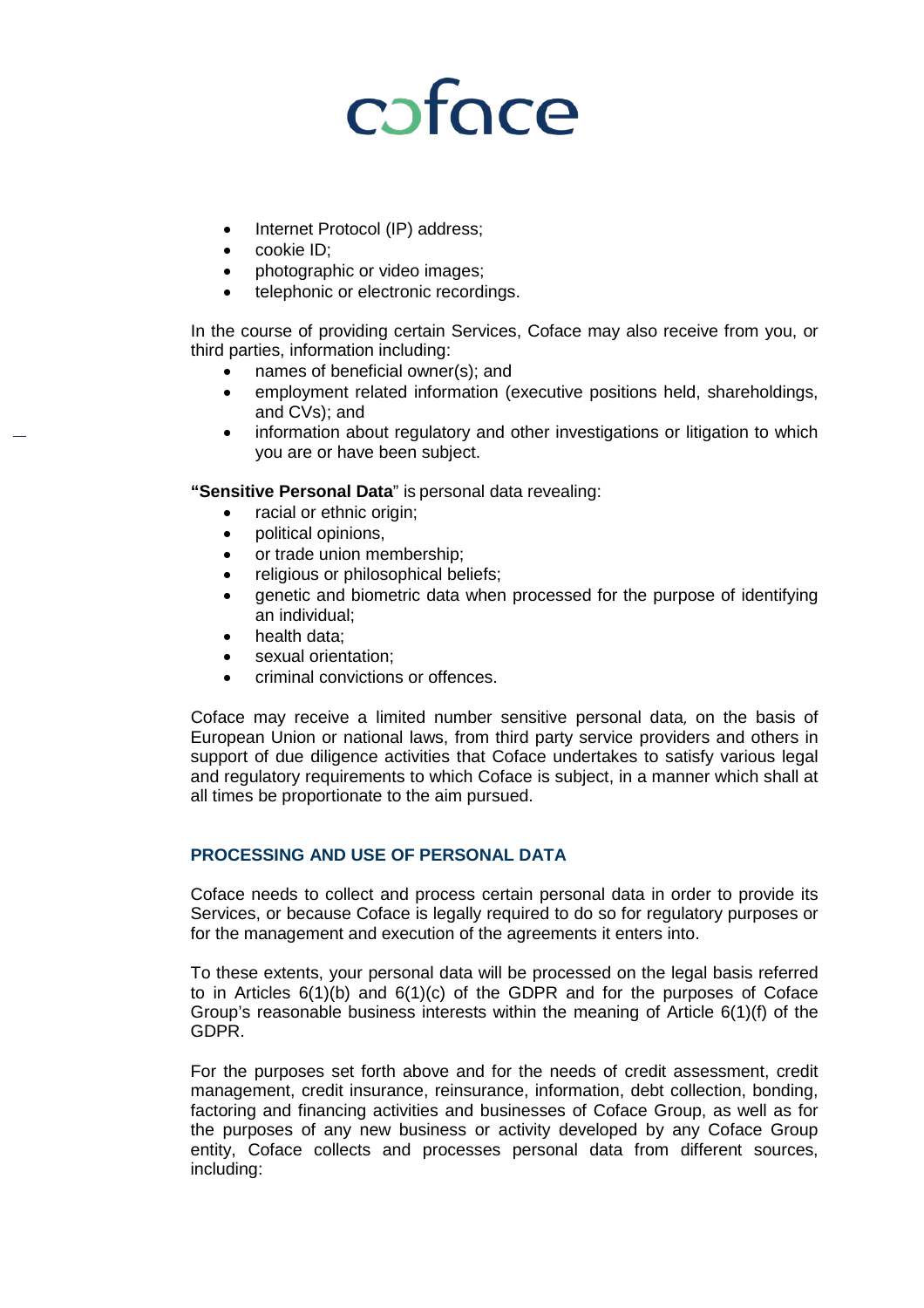# coface

- Internet Protocol (IP) address;
- cookie ID;
- photographic or video images;
- telephonic or electronic recordings.

In the course of providing certain Services, Coface may also receive from you, or third parties, information including:

- names of beneficial owner(s); and
- employment related information (executive positions held, shareholdings, and CVs); and
- information about regulatory and other investigations or litigation to which you are or have been subject.

**"Sensitive Personal Data**" is personal data revealing:

- racial or ethnic origin;
- political opinions,
- or trade union membership;
- religious or philosophical beliefs;
- genetic and biometric data when processed for the purpose of identifying an individual;
- health data;
- sexual orientation:
- criminal convictions or offences.

Coface may receive a limited number sensitive personal data, on the basis of European Union or national laws, from third party service providers and others in support of due diligence activities that Coface undertakes to satisfy various legal and regulatory requirements to which Coface is subject, in a manner which shall at all times be proportionate to the aim pursued.

### **PROCESSING AND USE OF PERSONAL DATA**

Coface needs to collect and process certain personal data in order to provide its Services, or because Coface is legally required to do so for regulatory purposes or for the management and execution of the agreements it enters into.

To these extents, your personal data will be processed on the legal basis referred to in Articles  $6(1)(b)$  and  $6(1)(c)$  of the GDPR and for the purposes of Coface Group's reasonable business interests within the meaning of Article 6(1)(f) of the GDPR.

For the purposes set forth above and for the needs of credit assessment, credit management, credit insurance, reinsurance, information, debt collection, bonding, factoring and financing activities and businesses of Coface Group, as well as for the purposes of any new business or activity developed by any Coface Group entity, Coface collects and processes personal data from different sources, including: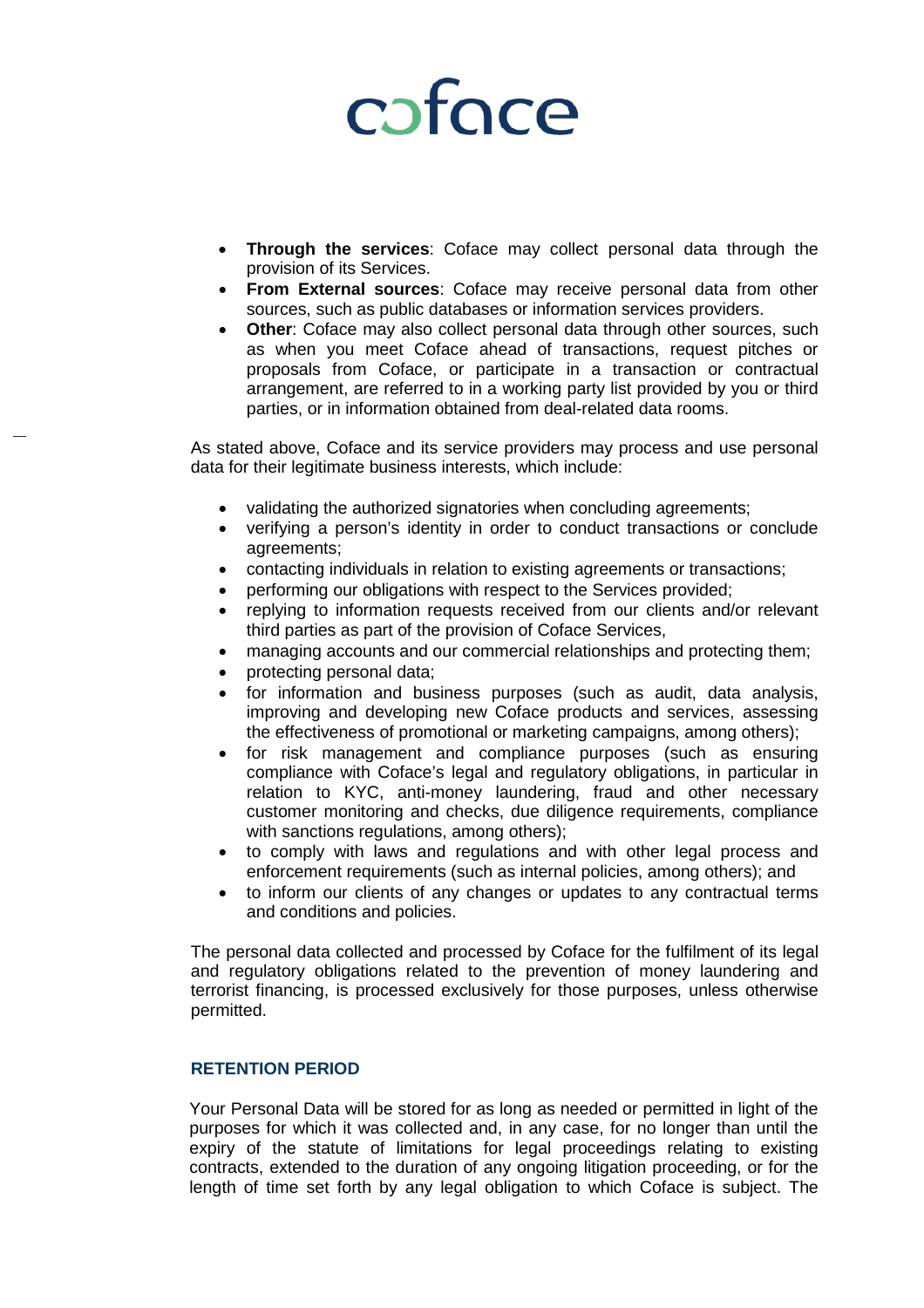# coface

- **Through the services:** Coface may collect personal data through the provision of its Services.
- **From External sources**: Coface may receive personal data from other sources, such as public databases or information services providers.
- **Other**: Coface may also collect personal data through other sources, such as when you meet Coface ahead of transactions, request pitches or proposals from Coface, or participate in a transaction or contractual arrangement, are referred to in a working party list provided by you or third parties, or in information obtained from deal-related data rooms.

As stated above, Coface and its service providers may process and use personal data for their legitimate business interests, which include:

- validating the authorized signatories when concluding agreements;
- verifying a person's identity in order to conduct transactions or conclude agreements;
- contacting individuals in relation to existing agreements or transactions;
- performing our obligations with respect to the Services provided;
- replying to information requests received from our clients and/or relevant third parties as part of the provision of Coface Services,
- managing accounts and our commercial relationships and protecting them;
- protecting personal data;
- for information and business purposes (such as audit, data analysis, improving and developing new Coface products and services, assessing the effectiveness of promotional or marketing campaigns, among others);
- for risk management and compliance purposes (such as ensuring compliance with Coface's legal and regulatory obligations, in particular in relation to KYC, anti-money laundering, fraud and other necessary customer monitoring and checks, due diligence requirements, compliance with sanctions regulations, among others);
- to comply with laws and regulations and with other legal process and enforcement requirements (such as internal policies, among others); and
- to inform our clients of any changes or updates to any contractual terms and conditions and policies.

The personal data collected and processed by Coface for the fulfilment of its legal and regulatory obligations related to the prevention of money laundering and terrorist financing, is processed exclusively for those purposes, unless otherwise permitted.

### **RETENTION PERIOD**

Your Personal Data will be stored for as long as needed or permitted in light of the purposes for which it was collected and, in any case, for no longer than until the expiry of the statute of limitations for legal proceedings relating to existing contracts, extended to the duration of any ongoing litigation proceeding, or for the length of time set forth by any legal obligation to which Coface is subject. The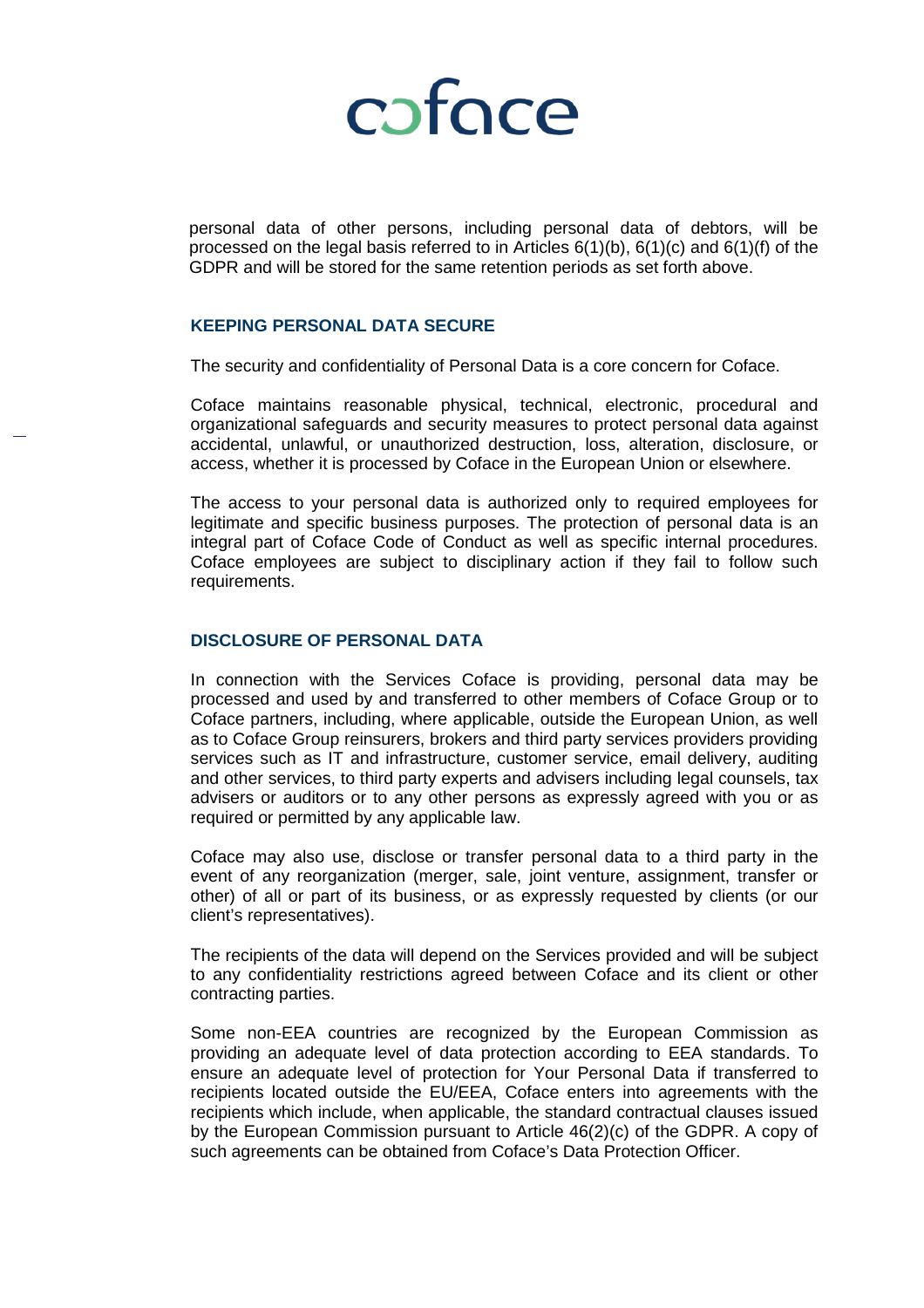

personal data of other persons, including personal data of debtors, will be processed on the legal basis referred to in Articles  $6(1)(b)$ ,  $6(1)(c)$  and  $6(1)(f)$  of the GDPR and will be stored for the same retention periods as set forth above.

#### **KEEPING PERSONAL DATA SECURE**

The security and confidentiality of Personal Data is a core concern for Coface.

Coface maintains reasonable physical, technical, electronic, procedural and organizational safeguards and security measures to protect personal data against accidental, unlawful, or unauthorized destruction, loss, alteration, disclosure, or access, whether it is processed by Coface in the European Union or elsewhere.

The access to your personal data is authorized only to required employees for legitimate and specific business purposes. The protection of personal data is an integral part of Coface Code of Conduct as well as specific internal procedures. Coface employees are subject to disciplinary action if they fail to follow such requirements.

#### **DISCLOSURE OF PERSONAL DATA**

In connection with the Services Coface is providing, personal data may be processed and used by and transferred to other members of Coface Group or to Coface partners, including, where applicable, outside the European Union, as well as to Coface Group reinsurers, brokers and third party services providers providing services such as IT and infrastructure, customer service, email delivery, auditing and other services, to third party experts and advisers including legal counsels, tax advisers or auditors or to any other persons as expressly agreed with you or as required or permitted by any applicable law.

Coface may also use, disclose or transfer personal data to a third party in the event of any reorganization (merger, sale, joint venture, assignment, transfer or other) of all or part of its business, or as expressly requested by clients (or our client's representatives).

The recipients of the data will depend on the Services provided and will be subject to any confidentiality restrictions agreed between Coface and its client or other contracting parties.

Some non-EEA countries are recognized by the European Commission as providing an adequate level of data protection according to EEA standards. To ensure an adequate level of protection for Your Personal Data if transferred to recipients located outside the EU/EEA, Coface enters into agreements with the recipients which include, when applicable, the standard contractual clauses issued by the European Commission pursuant to Article 46(2)(c) of the GDPR. A copy of such agreements can be obtained from Coface's Data Protection Officer.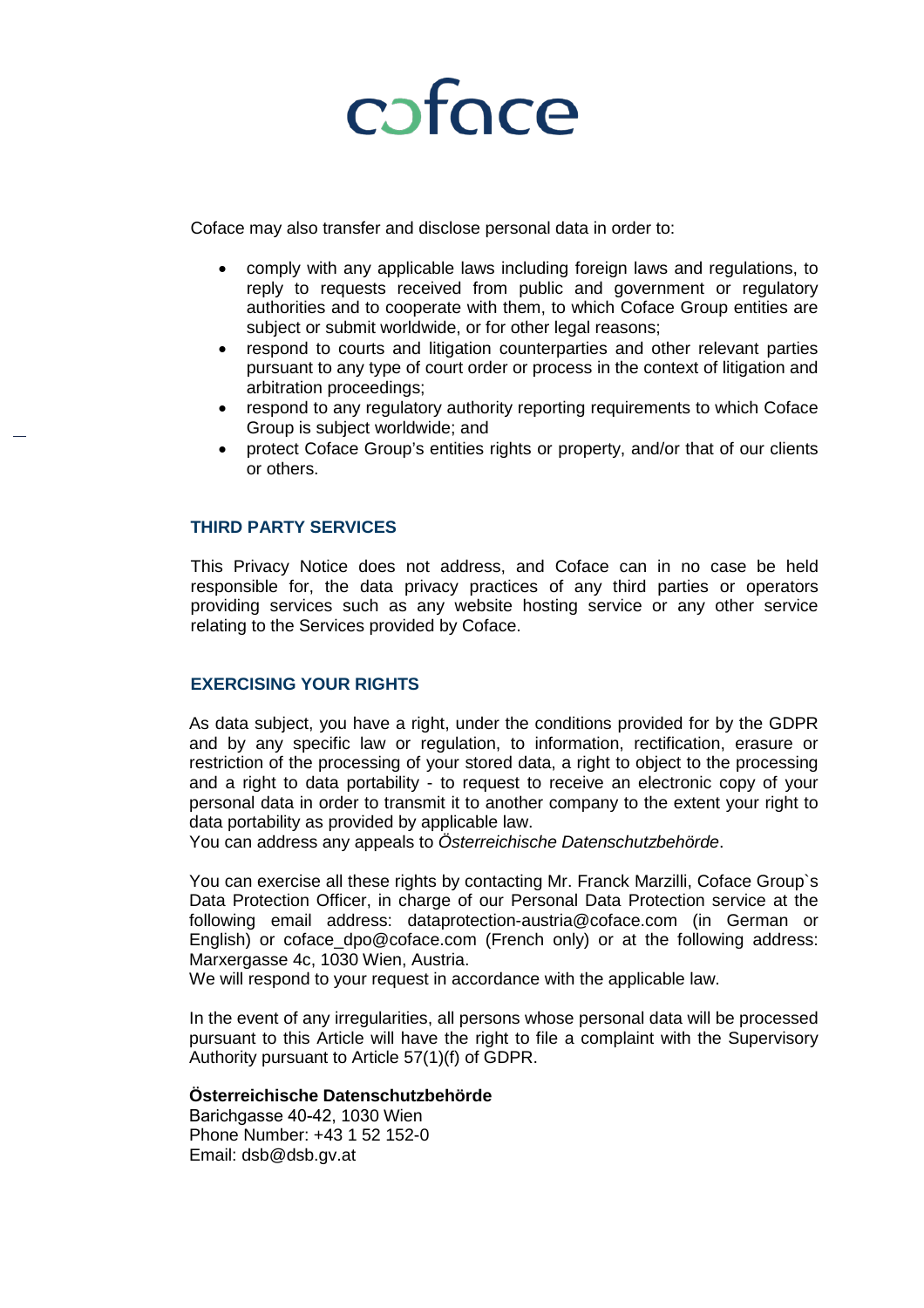

Coface may also transfer and disclose personal data in order to:

- comply with any applicable laws including foreign laws and regulations, to reply to requests received from public and government or regulatory authorities and to cooperate with them, to which Coface Group entities are subject or submit worldwide, or for other legal reasons;
- respond to courts and litigation counterparties and other relevant parties pursuant to any type of court order or process in the context of litigation and arbitration proceedings;
- respond to any regulatory authority reporting requirements to which Coface Group is subject worldwide; and
- protect Coface Group's entities rights or property, and/or that of our clients or others.

#### **THIRD PARTY SERVICES**

This Privacy Notice does not address, and Coface can in no case be held responsible for, the data privacy practices of any third parties or operators providing services such as any website hosting service or any other service relating to the Services provided by Coface.

### **EXERCISING YOUR RIGHTS**

As data subject, you have a right, under the conditions provided for by the GDPR and by any specific law or regulation, to information, rectification, erasure or restriction of the processing of your stored data, a right to object to the processing and a right to data portability - to request to receive an electronic copy of your personal data in order to transmit it to another company to the extent your right to data portability as provided by applicable law.

You can address any appeals to *Österreichische Datenschutzbehörde*.

You can exercise all these rights by contacting Mr. Franck Marzilli, Coface Group`s Data Protection Officer, in charge of our Personal Data Protection service at the following email address: [dataprotection-austria@coface.com](mailto:dataprotection-austria@coface.com) (in German or English) o[r coface\\_dpo@coface.com](mailto:coface_dpo@coface.com) (French only) or at the following address: Marxergasse 4c, 1030 Wien, Austria.

We will respond to your request in accordance with the applicable law.

In the event of any irregularities, all persons whose personal data will be processed pursuant to this Article will have the right to file a complaint with the Supervisory Authority pursuant to Article 57(1)(f) of GDPR.

### **Österreichische Datenschutzbehörde**

Barichgasse 40-42, 1030 Wien Phone Number: +43 1 52 152-0 Email: [dsb@dsb.gv.at](mailto:dsb@dsb.gv.at)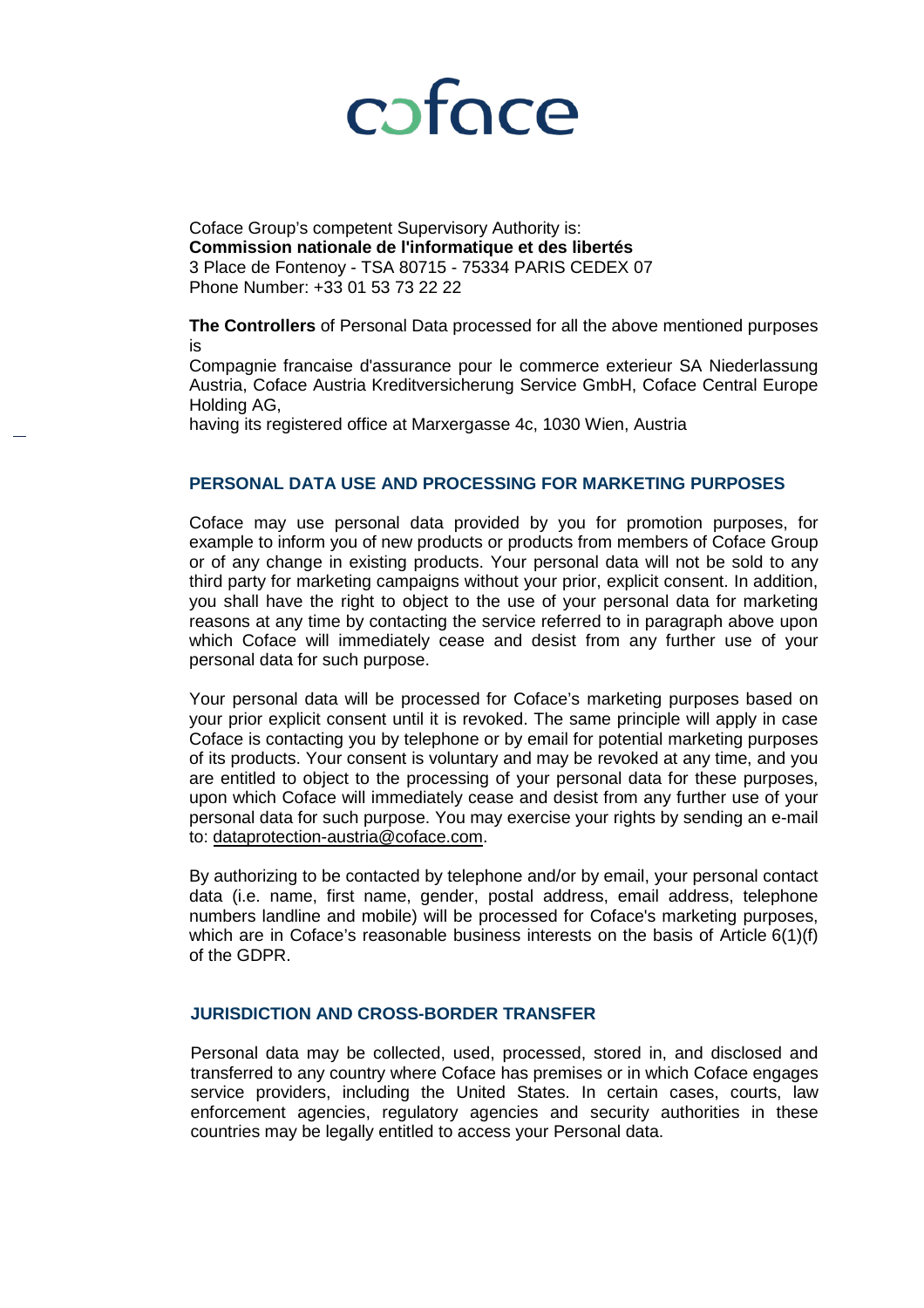

Coface Group's competent Supervisory Authority is: **[Commission nationale de l'informatique et des libertés](https://www.google.fr/url?sa=t&rct=j&q=&esrc=s&source=web&cd=8&cad=rja&uact=8&ved=0ahUKEwiNgIeDgp7bAhVNZVAKHbnSCiYQFgg_MAc&url=https%3A%2F%2Fen.wikipedia.org%2Fwiki%2FCommission_nationale_de_l%2527informatique_et_des_libert%25C3%25A9s&usg=AOvVaw3DH2_3U9XiDNmewh-2JbYH)** 3 Place de Fontenoy - TSA 80715 - 75334 PARIS CEDEX 07 Phone Number: +33 01 53 73 22 22

**The Controllers** of Personal Data processed for all the above mentioned purposes is

Compagnie francaise d'assurance pour le commerce exterieur SA Niederlassung Austria, Coface Austria Kreditversicherung Service GmbH, Coface Central Europe Holding AG,

having its registered office at Marxergasse 4c, 1030 Wien, Austria

#### **PERSONAL DATA USE AND PROCESSING FOR MARKETING PURPOSES**

Coface may use personal data provided by you for promotion purposes, for example to inform you of new products or products from members of Coface Group or of any change in existing products. Your personal data will not be sold to any third party for marketing campaigns without your prior, explicit consent. In addition, you shall have the right to object to the use of your personal data for marketing reasons at any time by contacting the service referred to in paragraph above upon which Coface will immediately cease and desist from any further use of your personal data for such purpose.

Your personal data will be processed for Coface's marketing purposes based on your prior explicit consent until it is revoked. The same principle will apply in case Coface is contacting you by telephone or by email for potential marketing purposes of its products. Your consent is voluntary and may be revoked at any time, and you are entitled to object to the processing of your personal data for these purposes, upon which Coface will immediately cease and desist from any further use of your personal data for such purpose. You may exercise your rights by sending an e-mail to: [dataprotection-austria@coface.com.](mailto:dataprotection-austria@coface.com)

By authorizing to be contacted by telephone and/or by email, your personal contact data (i.e. name, first name, gender, postal address, email address, telephone numbers landline and mobile) will be processed for Coface's marketing purposes, which are in Coface's reasonable business interests on the basis of Article  $6(1)(f)$ of the GDPR.

#### **JURISDICTION AND CROSS-BORDER TRANSFER**

Personal data may be collected, used, processed, stored in, and disclosed and transferred to any country where Coface has premises or in which Coface engages service providers, including the United States. In certain cases, courts, law enforcement agencies, regulatory agencies and security authorities in these countries may be legally entitled to access your Personal data.